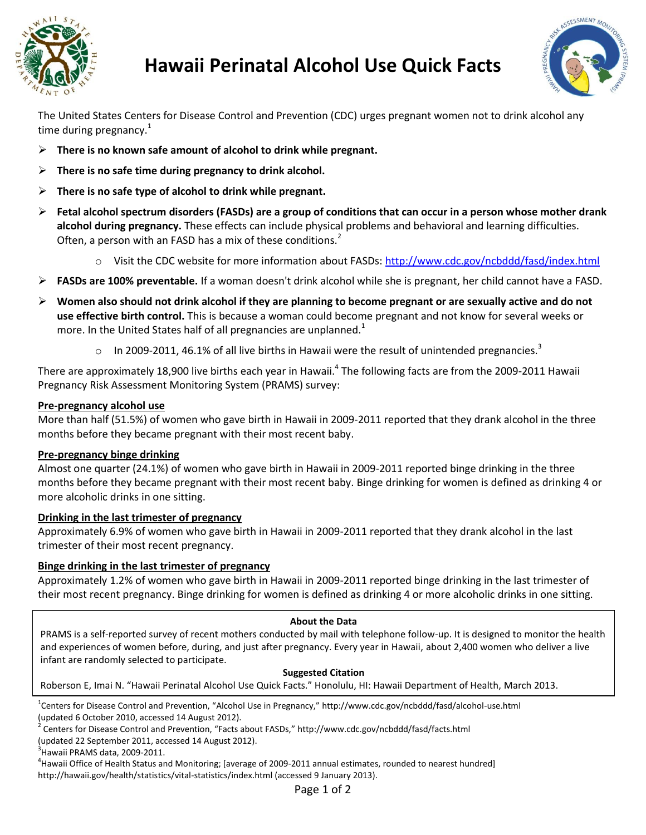

# **Hawaii Perinatal Alcohol Use Quick Facts**



The United States Centers for Disease Control and Prevention (CDC) urges pregnant women not to drink alcohol any time during pregnancy. $1$ 

- **There is no known safe amount of alcohol to drink while pregnant.**
- **There is no safe time during pregnancy to drink alcohol.**
- **There is no safe type of alcohol to drink while pregnant.**
- **Fetal alcohol spectrum disorders (FASDs) are a group of conditions that can occur in a person whose mother drank alcohol during pregnancy.** These effects can include physical problems and behavioral and learning difficulties. Often, a person with an FASD has a mix of these conditions. $<sup>2</sup>$ </sup>
	- o Visit the CDC website for more information about FASDs: <http://www.cdc.gov/ncbddd/fasd/index.html>
- **FASDs are 100% preventable.** If a woman doesn't drink alcohol while she is pregnant, her child cannot have a FASD.
- **Women also should not drink alcohol if they are planning to become pregnant or are sexually active and do not use effective birth control.** This is because a woman could become pregnant and not know for several weeks or more. In the United States half of all pregnancies are unplanned.<sup>1</sup>
	- $\circ$  In 2009-2011, 46.1% of all live births in Hawaii were the result of unintended pregnancies.<sup>3</sup>

There are approximately 18,900 live births each year in Hawaii.<sup>4</sup> The following facts are from the 2009-2011 Hawaii Pregnancy Risk Assessment Monitoring System (PRAMS) survey:

## **Pre-pregnancy alcohol use**

More than half (51.5%) of women who gave birth in Hawaii in 2009-2011 reported that they drank alcohol in the three months before they became pregnant with their most recent baby.

## **Pre-pregnancy binge drinking**

Almost one quarter (24.1%) of women who gave birth in Hawaii in 2009-2011 reported binge drinking in the three months before they became pregnant with their most recent baby. Binge drinking for women is defined as drinking 4 or more alcoholic drinks in one sitting.

## **Drinking in the last trimester of pregnancy**

Approximately 6.9% of women who gave birth in Hawaii in 2009-2011 reported that they drank alcohol in the last trimester of their most recent pregnancy.

## **Binge drinking in the last trimester of pregnancy**

Approximately 1.2% of women who gave birth in Hawaii in 2009-2011 reported binge drinking in the last trimester of their most recent pregnancy. Binge drinking for women is defined as drinking 4 or more alcoholic drinks in one sitting.

## **About the Data**

PRAMS is a self-reported survey of recent mothers conducted by mail with telephone follow-up. It is designed to monitor the health and experiences of women before, during, and just after pregnancy. Every year in Hawaii, about 2,400 women who deliver a live infant are randomly selected to participate.

#### **Suggested Citation**

Roberson E, Imai N. "Hawaii Perinatal Alcohol Use Quick Facts." Honolulu, HI: Hawaii Department of Health, March 2013.

 $3$ Hawaii PRAMS data, 2009-2011.

<sup>&</sup>lt;sup>1</sup>Centers for Disease Control and Prevention, "Alcohol Use in Pregnancy," http://www.cdc.gov/ncbddd/fasd/alcohol-use.html (updated 6 October 2010, accessed 14 August 2012).

<sup>&</sup>lt;sup>2</sup> Centers for Disease Control and Prevention, "Facts about FASDs," http://www.cdc.gov/ncbddd/fasd/facts.html

<sup>(</sup>updated 22 September 2011, accessed 14 August 2012).

<sup>&</sup>lt;sup>4</sup>Hawaii Office of Health Status and Monitoring; [average of 2009-2011 annual estimates, rounded to nearest hundred] http://hawaii.gov/health/statistics/vital-statistics/index.html (accessed 9 January 2013).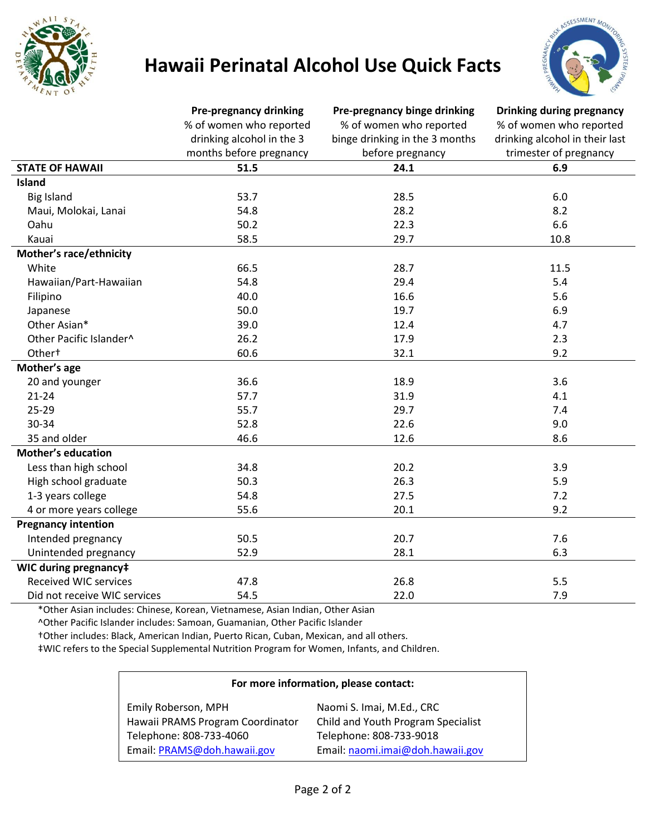

# **Hawaii Perinatal Alcohol Use Quick Facts**



|                              | <b>Pre-pregnancy drinking</b><br>% of women who reported<br>drinking alcohol in the 3<br>months before pregnancy | Pre-pregnancy binge drinking<br>% of women who reported<br>binge drinking in the 3 months<br>before pregnancy | Drinking during pregnancy<br>% of women who reported<br>drinking alcohol in their last<br>trimester of pregnancy |
|------------------------------|------------------------------------------------------------------------------------------------------------------|---------------------------------------------------------------------------------------------------------------|------------------------------------------------------------------------------------------------------------------|
|                              |                                                                                                                  |                                                                                                               |                                                                                                                  |
|                              |                                                                                                                  |                                                                                                               |                                                                                                                  |
|                              |                                                                                                                  |                                                                                                               |                                                                                                                  |
| <b>STATE OF HAWAII</b>       | 51.5                                                                                                             | 24.1                                                                                                          | 6.9                                                                                                              |
| Island                       |                                                                                                                  |                                                                                                               |                                                                                                                  |
| <b>Big Island</b>            | 53.7                                                                                                             | 28.5                                                                                                          | 6.0                                                                                                              |
| Maui, Molokai, Lanai         | 54.8                                                                                                             | 28.2                                                                                                          | 8.2                                                                                                              |
| Oahu                         | 50.2                                                                                                             | 22.3                                                                                                          | 6.6                                                                                                              |
| Kauai                        | 58.5                                                                                                             | 29.7                                                                                                          | 10.8                                                                                                             |
| Mother's race/ethnicity      |                                                                                                                  |                                                                                                               |                                                                                                                  |
| White                        | 66.5                                                                                                             | 28.7                                                                                                          | 11.5                                                                                                             |
| Hawaiian/Part-Hawaiian       | 54.8                                                                                                             | 29.4                                                                                                          | 5.4                                                                                                              |
| Filipino                     | 40.0                                                                                                             | 16.6                                                                                                          | 5.6                                                                                                              |
| Japanese                     | 50.0                                                                                                             | 19.7                                                                                                          | 6.9                                                                                                              |
| Other Asian*                 | 39.0                                                                                                             | 12.4                                                                                                          | 4.7                                                                                                              |
| Other Pacific Islander^      | 26.2                                                                                                             | 17.9                                                                                                          | 2.3                                                                                                              |
| Other <sup>+</sup>           | 60.6                                                                                                             | 32.1                                                                                                          | 9.2                                                                                                              |
| Mother's age                 |                                                                                                                  |                                                                                                               |                                                                                                                  |
| 20 and younger               | 36.6                                                                                                             | 18.9                                                                                                          | 3.6                                                                                                              |
| $21 - 24$                    | 57.7                                                                                                             | 31.9                                                                                                          | 4.1                                                                                                              |
| $25 - 29$                    | 55.7                                                                                                             | 29.7                                                                                                          | 7.4                                                                                                              |
| 30-34                        | 52.8                                                                                                             | 22.6                                                                                                          | 9.0                                                                                                              |
| 35 and older                 | 46.6                                                                                                             | 12.6                                                                                                          | 8.6                                                                                                              |
| <b>Mother's education</b>    |                                                                                                                  |                                                                                                               |                                                                                                                  |
| Less than high school        | 34.8                                                                                                             | 20.2                                                                                                          | 3.9                                                                                                              |
| High school graduate         | 50.3                                                                                                             | 26.3                                                                                                          | 5.9                                                                                                              |
| 1-3 years college            | 54.8                                                                                                             | 27.5                                                                                                          | 7.2                                                                                                              |
| 4 or more years college      | 55.6                                                                                                             | 20.1                                                                                                          | 9.2                                                                                                              |
| <b>Pregnancy intention</b>   |                                                                                                                  |                                                                                                               |                                                                                                                  |
| Intended pregnancy           | 50.5                                                                                                             | 20.7                                                                                                          | 7.6                                                                                                              |
| Unintended pregnancy         | 52.9                                                                                                             | 28.1                                                                                                          | 6.3                                                                                                              |
| WIC during pregnancy‡        |                                                                                                                  |                                                                                                               |                                                                                                                  |
| <b>Received WIC services</b> | 47.8                                                                                                             | 26.8                                                                                                          | 5.5                                                                                                              |
| Did not receive WIC services | 54.5                                                                                                             | 22.0                                                                                                          | 7.9                                                                                                              |

\*Other Asian includes: Chinese, Korean, Vietnamese, Asian Indian, Other Asian

^Other Pacific Islander includes: Samoan, Guamanian, Other Pacific Islander

†Other includes: Black, American Indian, Puerto Rican, Cuban, Mexican, and all others.

‡WIC refers to the Special Supplemental Nutrition Program for Women, Infants, and Children.

| For more information, please contact: |                                    |  |  |
|---------------------------------------|------------------------------------|--|--|
| Emily Roberson, MPH                   | Naomi S. Imai, M.Ed., CRC          |  |  |
| Hawaii PRAMS Program Coordinator      | Child and Youth Program Specialist |  |  |
| Telephone: 808-733-4060               | Telephone: 808-733-9018            |  |  |
| Email: PRAMS@doh.hawaii.gov           | Email: naomi.imai@doh.hawaii.gov   |  |  |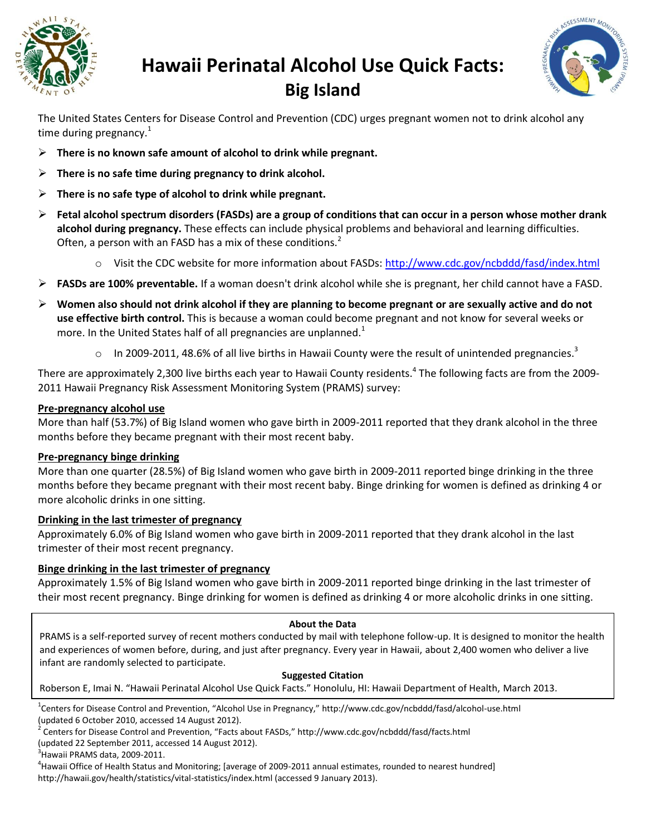

# **Hawaii Perinatal Alcohol Use Quick Facts: Big Island**



The United States Centers for Disease Control and Prevention (CDC) urges pregnant women not to drink alcohol any time during pregnancy. $1$ 

- **There is no known safe amount of alcohol to drink while pregnant.**
- **There is no safe time during pregnancy to drink alcohol.**
- **There is no safe type of alcohol to drink while pregnant.**
- **Fetal alcohol spectrum disorders (FASDs) are a group of conditions that can occur in a person whose mother drank alcohol during pregnancy.** These effects can include physical problems and behavioral and learning difficulties. Often, a person with an FASD has a mix of these conditions.<sup>2</sup>
	- o Visit the CDC website for more information about FASDs: <http://www.cdc.gov/ncbddd/fasd/index.html>
- **FASDs are 100% preventable.** If a woman doesn't drink alcohol while she is pregnant, her child cannot have a FASD.
- **Women also should not drink alcohol if they are planning to become pregnant or are sexually active and do not use effective birth control.** This is because a woman could become pregnant and not know for several weeks or more. In the United States half of all pregnancies are unplanned.<sup>1</sup>
	- $\circ$  In 2009-2011, 48.6% of all live births in Hawaii County were the result of unintended pregnancies.<sup>3</sup>

There are approximately 2,300 live births each year to Hawaii County residents.<sup>4</sup> The following facts are from the 2009-2011 Hawaii Pregnancy Risk Assessment Monitoring System (PRAMS) survey:

## **Pre-pregnancy alcohol use**

More than half (53.7%) of Big Island women who gave birth in 2009-2011 reported that they drank alcohol in the three months before they became pregnant with their most recent baby.

## **Pre-pregnancy binge drinking**

More than one quarter (28.5%) of Big Island women who gave birth in 2009-2011 reported binge drinking in the three months before they became pregnant with their most recent baby. Binge drinking for women is defined as drinking 4 or more alcoholic drinks in one sitting.

## **Drinking in the last trimester of pregnancy**

Approximately 6.0% of Big Island women who gave birth in 2009-2011 reported that they drank alcohol in the last trimester of their most recent pregnancy.

## **Binge drinking in the last trimester of pregnancy**

Approximately 1.5% of Big Island women who gave birth in 2009-2011 reported binge drinking in the last trimester of their most recent pregnancy. Binge drinking for women is defined as drinking 4 or more alcoholic drinks in one sitting.

## **About the Data**

PRAMS is a self-reported survey of recent mothers conducted by mail with telephone follow-up. It is designed to monitor the health and experiences of women before, during, and just after pregnancy. Every year in Hawaii, about 2,400 women who deliver a live infant are randomly selected to participate.

## **Suggested Citation**

Roberson E, Imai N. "Hawaii Perinatal Alcohol Use Quick Facts." Honolulu, HI: Hawaii Department of Health, March 2013.

<sup>1</sup>Centers for Disease Control and Prevention, "Alcohol Use in Pregnancy," http://www.cdc.gov/ncbddd/fasd/alcohol-use.html (updated 6 October 2010, accessed 14 August 2012).

(updated 22 September 2011, accessed 14 August 2012).

 $3$ Hawaii PRAMS data, 2009-2011.

<sup>4</sup>Hawaii Office of Health Status and Monitoring; [average of 2009-2011 annual estimates, rounded to nearest hundred] http://hawaii.gov/health/statistics/vital-statistics/index.html (accessed 9 January 2013).

 $^2$  Centers for Disease Control and Prevention, "Facts about FASDs," http://www.cdc.gov/ncbddd/fasd/facts.html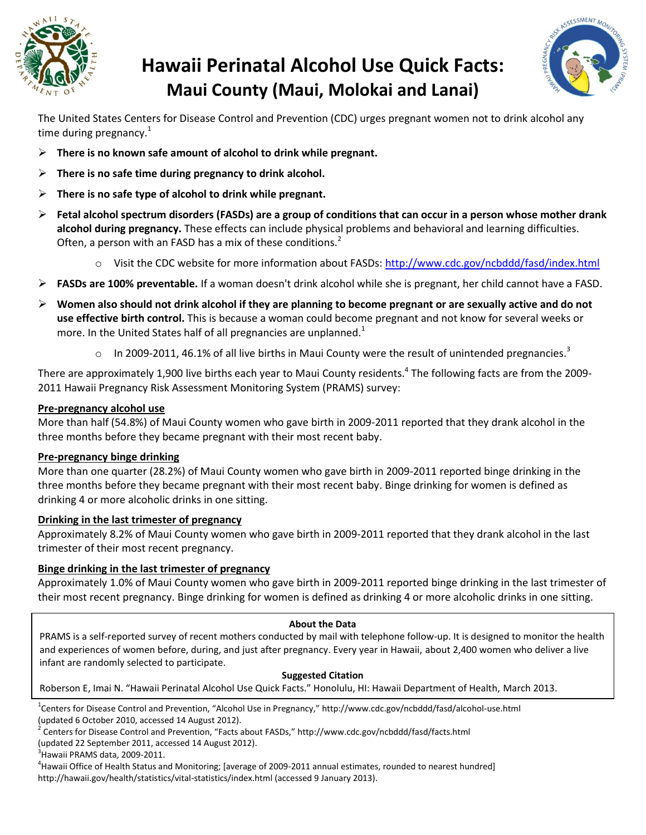

# **Hawaii Perinatal Alcohol Use Quick Facts: Maui County (Maui, Molokai and Lanai)**



The United States Centers for Disease Control and Prevention (CDC) urges pregnant women not to drink alcohol any time during pregnancy. $1$ 

- **There is no known safe amount of alcohol to drink while pregnant.**
- **There is no safe time during pregnancy to drink alcohol.**
- **There is no safe type of alcohol to drink while pregnant.**
- **Fetal alcohol spectrum disorders (FASDs) are a group of conditions that can occur in a person whose mother drank alcohol during pregnancy.** These effects can include physical problems and behavioral and learning difficulties. Often, a person with an FASD has a mix of these conditions.<sup>2</sup>
	- o Visit the CDC website for more information about FASDs: <http://www.cdc.gov/ncbddd/fasd/index.html>
- **FASDs are 100% preventable.** If a woman doesn't drink alcohol while she is pregnant, her child cannot have a FASD.
- **Women also should not drink alcohol if they are planning to become pregnant or are sexually active and do not use effective birth control.** This is because a woman could become pregnant and not know for several weeks or more. In the United States half of all pregnancies are unplanned.<sup>1</sup>
	- $\circ$  In 2009-2011, 46.1% of all live births in Maui County were the result of unintended pregnancies.<sup>3</sup>

There are approximately 1,900 live births each year to Maui County residents.<sup>4</sup> The following facts are from the 2009-2011 Hawaii Pregnancy Risk Assessment Monitoring System (PRAMS) survey:

## **Pre-pregnancy alcohol use**

More than half (54.8%) of Maui County women who gave birth in 2009-2011 reported that they drank alcohol in the three months before they became pregnant with their most recent baby.

## **Pre-pregnancy binge drinking**

More than one quarter (28.2%) of Maui County women who gave birth in 2009-2011 reported binge drinking in the three months before they became pregnant with their most recent baby. Binge drinking for women is defined as drinking 4 or more alcoholic drinks in one sitting.

## **Drinking in the last trimester of pregnancy**

Approximately 8.2% of Maui County women who gave birth in 2009-2011 reported that they drank alcohol in the last trimester of their most recent pregnancy.

## **Binge drinking in the last trimester of pregnancy**

Approximately 1.0% of Maui County women who gave birth in 2009-2011 reported binge drinking in the last trimester of their most recent pregnancy. Binge drinking for women is defined as drinking 4 or more alcoholic drinks in one sitting.

## **About the Data**

PRAMS is a self-reported survey of recent mothers conducted by mail with telephone follow-up. It is designed to monitor the health and experiences of women before, during, and just after pregnancy. Every year in Hawaii, about 2,400 women who deliver a live infant are randomly selected to participate.

## **Suggested Citation**

Roberson E, Imai N. "Hawaii Perinatal Alcohol Use Quick Facts." Honolulu, HI: Hawaii Department of Health, March 2013.

<sup>1</sup>Centers for Disease Control and Prevention, "Alcohol Use in Pregnancy," http://www.cdc.gov/ncbddd/fasd/alcohol-use.html (updated 6 October 2010, accessed 14 August 2012).

 $^2$  Centers for Disease Control and Prevention, "Facts about FASDs," http://www.cdc.gov/ncbddd/fasd/facts.html

(updated 22 September 2011, accessed 14 August 2012).

 $3$ Hawaii PRAMS data, 2009-2011.

<sup>4</sup>Hawaii Office of Health Status and Monitoring; [average of 2009-2011 annual estimates, rounded to nearest hundred] http://hawaii.gov/health/statistics/vital-statistics/index.html (accessed 9 January 2013).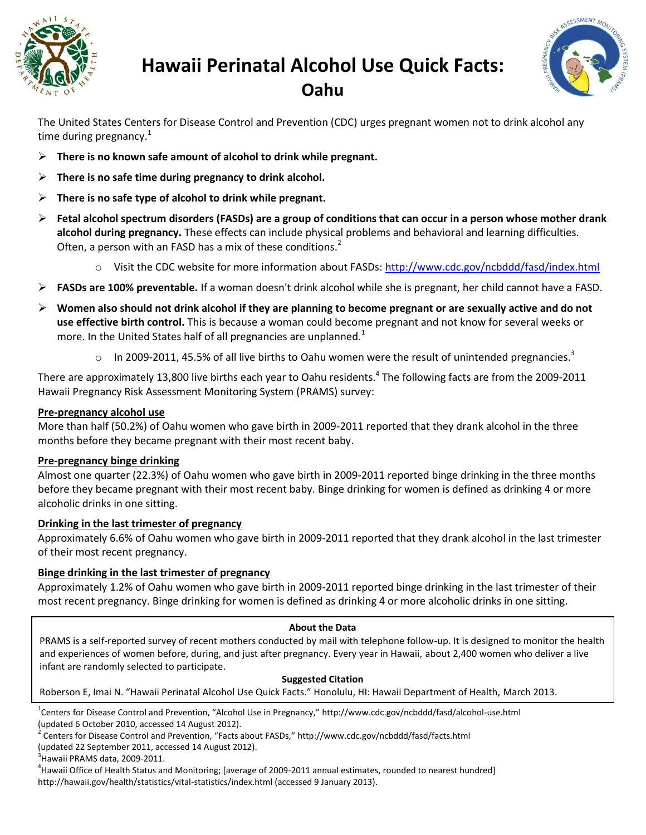

# **Hawaii Perinatal Alcohol Use Quick Facts: Oahu**



The United States Centers for Disease Control and Prevention (CDC) urges pregnant women not to drink alcohol any time during pregnancy. $1$ 

- **There is no known safe amount of alcohol to drink while pregnant.**
- **There is no safe time during pregnancy to drink alcohol.**
- **There is no safe type of alcohol to drink while pregnant.**
- **Fetal alcohol spectrum disorders (FASDs) are a group of conditions that can occur in a person whose mother drank alcohol during pregnancy.** These effects can include physical problems and behavioral and learning difficulties. Often, a person with an FASD has a mix of these conditions.<sup>2</sup>
	- o Visit the CDC website for more information about FASDs: <http://www.cdc.gov/ncbddd/fasd/index.html>
- **FASDs are 100% preventable.** If a woman doesn't drink alcohol while she is pregnant, her child cannot have a FASD.
- **Women also should not drink alcohol if they are planning to become pregnant or are sexually active and do not use effective birth control.** This is because a woman could become pregnant and not know for several weeks or more. In the United States half of all pregnancies are unplanned. $1$ 
	- $\circ$  In 2009-2011, 45.5% of all live births to Oahu women were the result of unintended pregnancies.<sup>3</sup>

There are approximately 13,800 live births each year to Oahu residents.<sup>4</sup> The following facts are from the 2009-2011 Hawaii Pregnancy Risk Assessment Monitoring System (PRAMS) survey:

## **Pre-pregnancy alcohol use**

More than half (50.2%) of Oahu women who gave birth in 2009-2011 reported that they drank alcohol in the three months before they became pregnant with their most recent baby.

## **Pre-pregnancy binge drinking**

Almost one quarter (22.3%) of Oahu women who gave birth in 2009-2011 reported binge drinking in the three months before they became pregnant with their most recent baby. Binge drinking for women is defined as drinking 4 or more alcoholic drinks in one sitting.

## **Drinking in the last trimester of pregnancy**

Approximately 6.6% of Oahu women who gave birth in 2009-2011 reported that they drank alcohol in the last trimester of their most recent pregnancy.

## **Binge drinking in the last trimester of pregnancy**

Approximately 1.2% of Oahu women who gave birth in 2009-2011 reported binge drinking in the last trimester of their most recent pregnancy. Binge drinking for women is defined as drinking 4 or more alcoholic drinks in one sitting.

## **About the Data**

PRAMS is a self-reported survey of recent mothers conducted by mail with telephone follow-up. It is designed to monitor the health and experiences of women before, during, and just after pregnancy. Every year in Hawaii, about 2,400 women who deliver a live infant are randomly selected to participate.

#### **Suggested Citation**

Roberson E, Imai N. "Hawaii Perinatal Alcohol Use Quick Facts." Honolulu, HI: Hawaii Department of Health, March 2013.

<sup>1</sup>Centers for Disease Control and Prevention, "Alcohol Use in Pregnancy," http://www.cdc.gov/ncbddd/fasd/alcohol-use.html (updated 6 October 2010, accessed 14 August 2012).

2 Centers for Disease Control and Prevention, "Facts about FASDs," http://www.cdc.gov/ncbddd/fasd/facts.html

(updated 22 September 2011, accessed 14 August 2012).

 $3$ Hawaii PRAMS data, 2009-2011.

4 Hawaii Office of Health Status and Monitoring; [average of 2009-2011 annual estimates, rounded to nearest hundred] http://hawaii.gov/health/statistics/vital-statistics/index.html (accessed 9 January 2013).